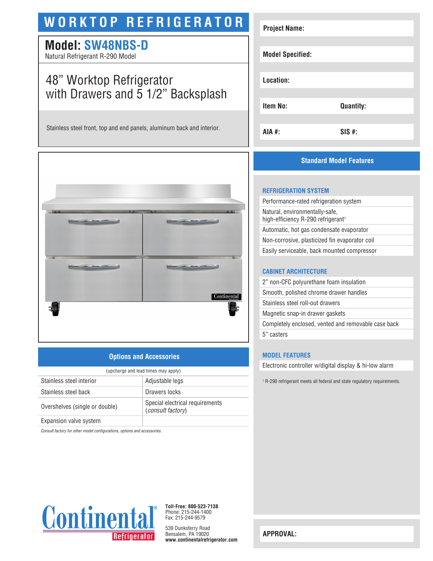# **WORKTOP REFRIGERATOR**

## **Model: SW48NBS-D**

Natural Refrigerant R-290 Model

## 48" Worktop Refrigerator with Drawers and 5 1/2" Backsplash

Stainless steel front, top and end panels, aluminum back and interior.



## **Options and Accessories**

| (upcharge and lead times may apply) |                                                             |  |
|-------------------------------------|-------------------------------------------------------------|--|
| Stainless steel interior            | Adjustable legs                                             |  |
| Stainless steel back                | Drawers locks                                               |  |
| Overshelves (single or double)      | Special electrical requirements<br><i>(consult factory)</i> |  |
| Expansion valve system              |                                                             |  |

*Consult factory for other model configurations, options and accessories.*



## **Standard Model Features**

### **REFRIGERATION SYSTEM**

| Performance-rated refrigeration system                                           |  |
|----------------------------------------------------------------------------------|--|
| Natural, environmentally-safe,<br>high-efficiency R-290 refrigerant <sup>1</sup> |  |
| Automatic, hot gas condensate evaporator                                         |  |
| Non-corrosive, plasticized fin evaporator coil                                   |  |
| Easily serviceable, back mounted compressor                                      |  |
|                                                                                  |  |

#### **CABINET ARCHITECTURE**

| 2" non-CFC polyurethane foam insulation             |  |
|-----------------------------------------------------|--|
| Smooth, polished chrome drawer handles              |  |
| Stainless steel roll-out drawers                    |  |
| Magnetic snap-in drawer gaskets                     |  |
| Completely enclosed, vented and removable case back |  |
| 5" casters                                          |  |

#### **MODEL FEATURES**

Electronic controller w/digital display & hi-low alarm

1 R-290 refrigerant meets all federal and state regulatory requirements.



**Toll-Free: 800-523-7138** Phone: 215-244-1400 Fax: 215-244-9579

539 Dunksferry Road Bensalem, PA 19020 **www.continentalrefrigerator.com** 

**APPROVAL:**